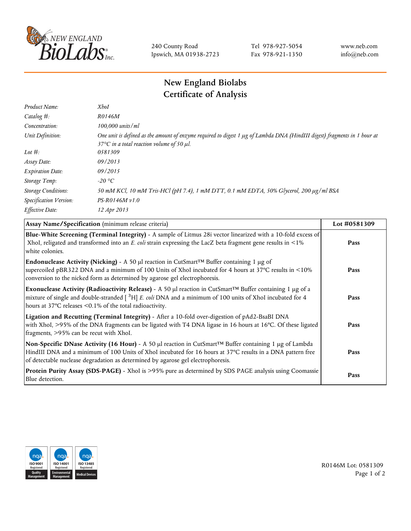

240 County Road Ipswich, MA 01938-2723 Tel 978-927-5054 Fax 978-921-1350 www.neb.com info@neb.com

## **New England Biolabs Certificate of Analysis**

| <b>XhoI</b>                                                                                                                                                                           |
|---------------------------------------------------------------------------------------------------------------------------------------------------------------------------------------|
| R0146M                                                                                                                                                                                |
| 100,000 units/ml                                                                                                                                                                      |
| One unit is defined as the amount of enzyme required to digest 1 µg of Lambda DNA (HindIII digest) fragments in 1 hour at<br>37 $\degree$ C in a total reaction volume of 50 $\mu$ l. |
| 0581309                                                                                                                                                                               |
| 09/2013                                                                                                                                                                               |
| 09/2015                                                                                                                                                                               |
| -20 °C                                                                                                                                                                                |
| 50 mM KCl, 10 mM Tris-HCl (pH 7.4), 1 mM DTT, 0.1 mM EDTA, 50% Glycerol, 200 µg/ml BSA                                                                                                |
| $PS-R0146M v1.0$                                                                                                                                                                      |
| 12 Apr 2013                                                                                                                                                                           |
|                                                                                                                                                                                       |

| Assay Name/Specification (minimum release criteria)                                                                                                                                                                                                                                                             | Lot #0581309 |
|-----------------------------------------------------------------------------------------------------------------------------------------------------------------------------------------------------------------------------------------------------------------------------------------------------------------|--------------|
| Blue-White Screening (Terminal Integrity) - A sample of Litmus 28i vector linearized with a 10-fold excess of<br>XhoI, religated and transformed into an E. coli strain expressing the LacZ beta fragment gene results in <1%<br>white colonies.                                                                | Pass         |
| <b>Endonuclease Activity (Nicking)</b> - A 50 µl reaction in CutSmart <sup>TM</sup> Buffer containing 1 µg of<br>supercoiled pBR322 DNA and a minimum of 100 Units of XhoI incubated for 4 hours at 37°C results in <10%<br>conversion to the nicked form as determined by agarose gel electrophoresis.         | Pass         |
| Exonuclease Activity (Radioactivity Release) - A 50 µl reaction in CutSmart™ Buffer containing 1 µg of a<br>mixture of single and double-stranded [ <sup>3</sup> H] E. coli DNA and a minimum of 100 units of XhoI incubated for 4<br>hours at $37^{\circ}$ C releases $\leq 0.1\%$ of the total radioactivity. | Pass         |
| Ligation and Recutting (Terminal Integrity) - After a 10-fold over-digestion of pAd2-BsaBI DNA<br>with XhoI, >95% of the DNA fragments can be ligated with T4 DNA ligase in 16 hours at 16°C. Of these ligated<br>fragments, >95% can be recut with XhoI.                                                       | Pass         |
| Non-Specific DNase Activity (16 Hour) - A 50 µl reaction in CutSmart™ Buffer containing 1 µg of Lambda<br>HindIII DNA and a minimum of 100 Units of XhoI incubated for 16 hours at 37°C results in a DNA pattern free<br>of detectable nuclease degradation as determined by agarose gel electrophoresis.       | Pass         |
| Protein Purity Assay (SDS-PAGE) - XhoI is >95% pure as determined by SDS PAGE analysis using Coomassie<br>Blue detection.                                                                                                                                                                                       | Pass         |



R0146M Lot: 0581309 Page 1 of 2